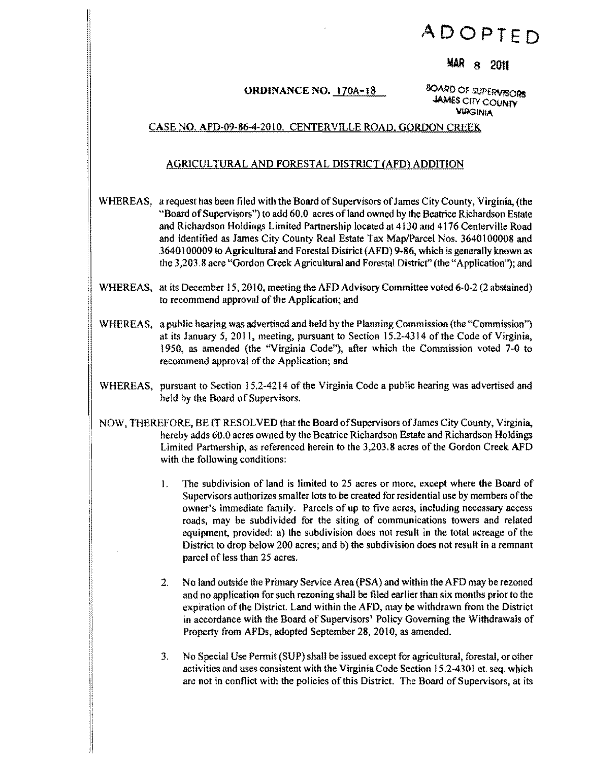# **ADOPTED**

### **MAR** 8 20lf

## ORDINANCE NO. 170A-18 <sup>8QARD</sup> OF SUPERVISORS

JAMes CITY COUNTY VIRGINIA

### CASE NO. AFD-09-86-4-201O. CENTERVILLE ROAD. GORDON CREEK

#### AGRICULTURAL AND FORESTAL DISTRICT (AFD) ADDITION

- WHEREAS, a request has been filed with the Board of Supervisors of James City County, Virginia, (the "Board of Supervisors'') to add 60.0 acres ofland owned by the Beatrice Richardson Estate and Richardson Holdings Limited Partnership located at 4130 and 4176 Centerville Road and identified as James City County Real Estate Tax Map/Parcel Nos. 3640 I 00008 and 3640100009 to Agricultural and Forestal District (AFD) 9-86, which is generally known as the 3,203.8 acre "Gordon Creek Agricultural and Forestal District" (the "Application''); and
- WHEREAS, at its December 15, 2010, meeting the AFD Advisory Committee voted 6-0-2 (2 abstained) to recommend approval of the Application; and
- WHEREAS, a public hearing was advertised and held by the Planning Commission (the "Commission") at its January 5, 2011, meeting, pursuant to Section 15.2-4314 of the Code of Virginia, 1950, as amended (the "Virginia Code"), after which the Commission voted 7-0 to recommend approval of the Application; and
- WHEREAS, pursuant to Section 15.2-4214 of the Virginia Code a public hearing was advertised and held by the Board of Supervisors.
- NOW, THEREFORE, BE IT RESOLVED that the Board ofSupervisors ofJames City County, Virginia, hereby adds 60.0 acres owned by the Beatrice Richardson Estate and Richardson Holdings Limited Partnership, as referenced herein to the 3,203.8 acres of the Gordon Creek AFD with the following conditions:
	- 1. The subdivision of land is limited to 25 acres or more, except where the Board of Supervisors authorizes smaller lots to be created for residential use by members ofthe owner's immediate family. Parcels of up to five acres, including necessary access roads, may be subdivided for the siting of communications towers and related equipment, provided: a) the subdivision does not result in the total acreage of the District to drop below 200 acres; and b) the subdivision does not result in a remnant parcel of less than 25 acres.
	- 2. No land outside the Primary Service Area (PSA) and within the AFD may be rezoned and no application for such rezoning shall be filed earlier than six months prior to the expiration of the District. Land within the AFD, may be withdrawn from the District in accordance with the Board of Supervisors' Policy Governing the Withdrawals of Property from AFDs, adopted September 28, 2010, as amended.
	- 3. No Special Use Permit (SUP) shall be issued except for agricultural, forestal, or other activities and uses consistent with the Virginia Code Section 15.2-4301 et. seq. which are not in conflict with the policies of this District. The Board of Supervisors, at its